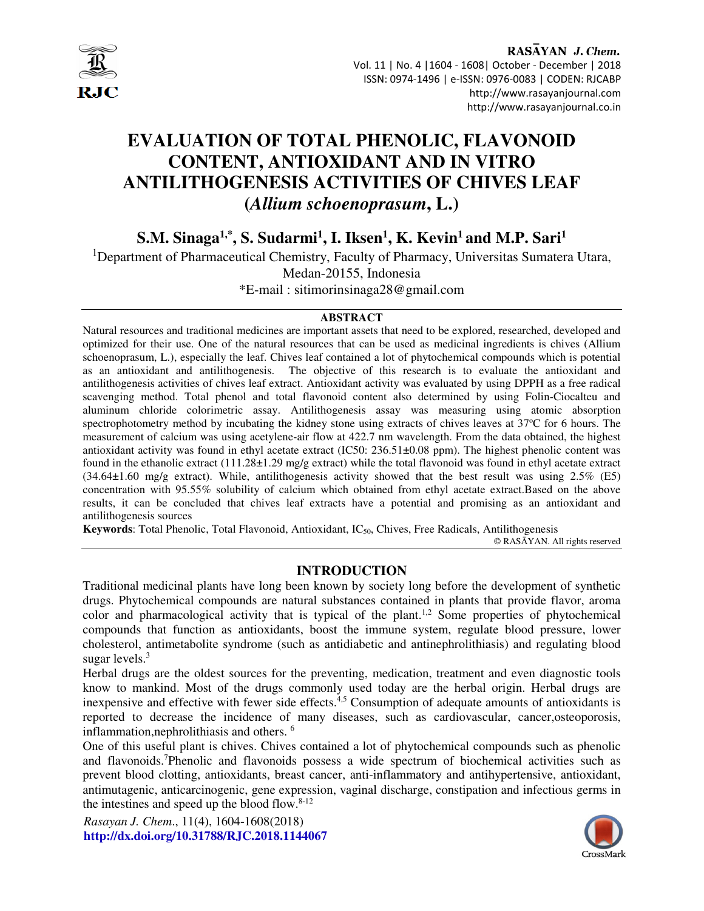

#### RASAYAN J. Chem. Vol. 11 | No. 4 |1604 - 1608| October - December | 2018 ISSN: 0974-1496 | e-ISSN: 0976-0083 | CODEN: RJCABP http://www.rasayanjournal.com http://www.rasayanjournal.co.in

# **EVALUATION OF TOTAL PHENOLIC, FLAVONOID CONTENT, ANTIOXIDANT AND IN VITRO ANTILITHOGENESIS ACTIVITIES OF CHIVES LEAF (***Allium schoenoprasum***, L.)**

**S.M. Sinaga1,\*, S. Sudarmi<sup>1</sup> , I. Iksen<sup>1</sup> , K. Kevin<sup>1</sup>and M.P. Sari<sup>1</sup>**

<sup>1</sup>Department of Pharmaceutical Chemistry, Faculty of Pharmacy, Universitas Sumatera Utara,

Medan-20155, Indonesia

\*E-mail : sitimorinsinaga28@gmail.com

#### **ABSTRACT**

Natural resources and traditional medicines are important assets that need to be explored, researched, developed and optimized for their use. One of the natural resources that can be used as medicinal ingredients is chives (Allium schoenoprasum, L.), especially the leaf. Chives leaf contained a lot of phytochemical compounds which is potential as an antioxidant and antilithogenesis. The objective of this research is to evaluate the antioxidant and antilithogenesis activities of chives leaf extract. Antioxidant activity was evaluated by using DPPH as a free radical scavenging method. Total phenol and total flavonoid content also determined by using Folin-Ciocalteu and aluminum chloride colorimetric assay. Antilithogenesis assay was measuring using atomic absorption spectrophotometry method by incubating the kidney stone using extracts of chives leaves at 37°C for 6 hours. The measurement of calcium was using acetylene-air flow at 422.7 nm wavelength. From the data obtained, the highest antioxidant activity was found in ethyl acetate extract (IC50: 236.51±0.08 ppm). The highest phenolic content was found in the ethanolic extract (111.28±1.29 mg/g extract) while the total flavonoid was found in ethyl acetate extract (34.64±1.60 mg/g extract). While, antilithogenesis activity showed that the best result was using 2.5% (E5) concentration with 95.55% solubility of calcium which obtained from ethyl acetate extract.Based on the above results, it can be concluded that chives leaf extracts have a potential and promising as an antioxidant and antilithogenesis sources

**Keywords**: Total Phenolic, Total Flavonoid, Antioxidant, IC50, Chives, Free Radicals, Antilithogenesis

© RASĀYAN. All rights reserved

# **INTRODUCTION**

Traditional medicinal plants have long been known by society long before the development of synthetic drugs. Phytochemical compounds are natural substances contained in plants that provide flavor, aroma color and pharmacological activity that is typical of the plant.<sup>1,2</sup> Some properties of phytochemical compounds that function as antioxidants, boost the immune system, regulate blood pressure, lower cholesterol, antimetabolite syndrome (such as antidiabetic and antinephrolithiasis) and regulating blood sugar levels. $3$ 

Herbal drugs are the oldest sources for the preventing, medication, treatment and even diagnostic tools know to mankind. Most of the drugs commonly used today are the herbal origin. Herbal drugs are inexpensive and effective with fewer side effects.<sup>4,5</sup> Consumption of adequate amounts of antioxidants is reported to decrease the incidence of many diseases, such as cardiovascular, cancer,osteoporosis, inflammation,nephrolithiasis and others. <sup>6</sup>

One of this useful plant is chives. Chives contained a lot of phytochemical compounds such as phenolic and flavonoids.<sup>7</sup>Phenolic and flavonoids possess a wide spectrum of biochemical activities such as prevent blood clotting, antioxidants, breast cancer, anti-inflammatory and antihypertensive, antioxidant, antimutagenic, anticarcinogenic, gene expression, vaginal discharge, constipation and infectious germs in the intestines and speed up the blood flow. $8-12$ 

*Rasayan J. Chem*., 11(4), 1604-1608(2018) **http://dx.doi.org/10.31788/RJC.2018.1144067** 

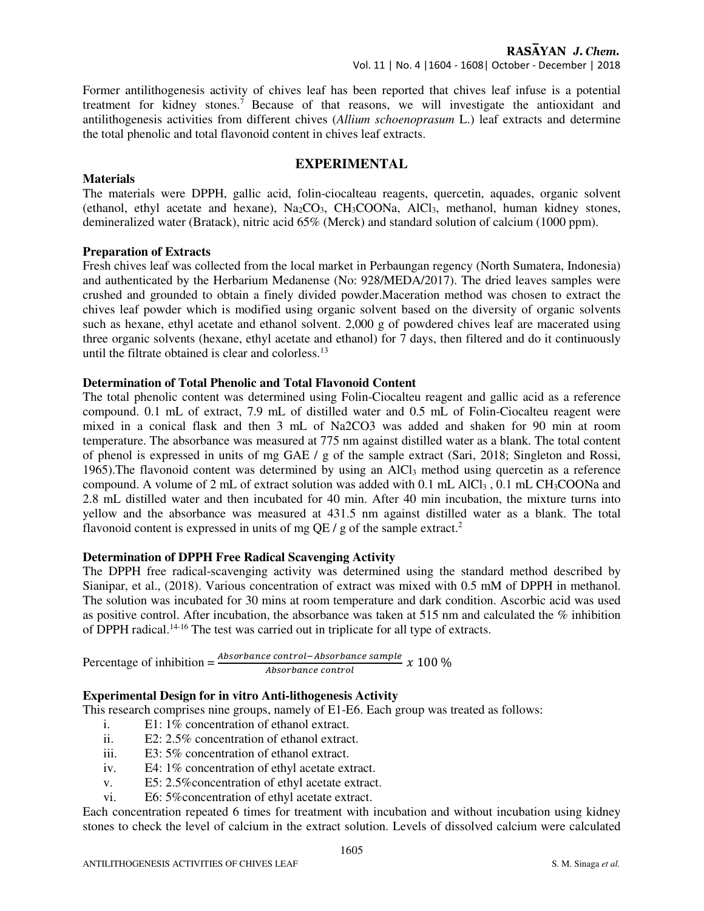Former antilithogenesis activity of chives leaf has been reported that chives leaf infuse is a potential treatment for kidney stones.<sup>7</sup> Because of that reasons, we will investigate the antioxidant and antilithogenesis activities from different chives (*Allium schoenoprasum* L.) leaf extracts and determine the total phenolic and total flavonoid content in chives leaf extracts.

# **EXPERIMENTAL**

# The materials were DPPH, gallic acid, folin-ciocalteau reagents, quercetin, aquades, organic solvent (ethanol, ethyl acetate and hexane), Na2CO3, CH3COONa, AlCl3, methanol, human kidney stones, demineralized water (Bratack), nitric acid 65% (Merck) and standard solution of calcium (1000 ppm).

#### **Preparation of Extracts**

**Materials** 

Fresh chives leaf was collected from the local market in Perbaungan regency (North Sumatera, Indonesia) and authenticated by the Herbarium Medanense (No: 928/MEDA/2017). The dried leaves samples were crushed and grounded to obtain a finely divided powder.Maceration method was chosen to extract the chives leaf powder which is modified using organic solvent based on the diversity of organic solvents such as hexane, ethyl acetate and ethanol solvent. 2,000 g of powdered chives leaf are macerated using three organic solvents (hexane, ethyl acetate and ethanol) for 7 days, then filtered and do it continuously until the filtrate obtained is clear and colorless.<sup>13</sup>

## **Determination of Total Phenolic and Total Flavonoid Content**

The total phenolic content was determined using Folin-Ciocalteu reagent and gallic acid as a reference compound. 0.1 mL of extract, 7.9 mL of distilled water and 0.5 mL of Folin-Ciocalteu reagent were mixed in a conical flask and then 3 mL of Na2CO3 was added and shaken for 90 min at room temperature. The absorbance was measured at 775 nm against distilled water as a blank. The total content of phenol is expressed in units of mg GAE / g of the sample extract (Sari, 2018; Singleton and Rossi, 1965). The flavonoid content was determined by using an AlCl<sub>3</sub> method using quercetin as a reference compound. A volume of 2 mL of extract solution was added with 0.1 mL AlCl<sub>3</sub>, 0.1 mL CH<sub>3</sub>COONa and 2.8 mL distilled water and then incubated for 40 min. After 40 min incubation, the mixture turns into yellow and the absorbance was measured at 431.5 nm against distilled water as a blank. The total flavonoid content is expressed in units of mg QE / g of the sample extract.<sup>2</sup>

## **Determination of DPPH Free Radical Scavenging Activity**

The DPPH free radical-scavenging activity was determined using the standard method described by Sianipar, et al., (2018). Various concentration of extract was mixed with 0.5 mM of DPPH in methanol. The solution was incubated for 30 mins at room temperature and dark condition. Ascorbic acid was used as positive control. After incubation, the absorbance was taken at 515 nm and calculated the % inhibition of DPPH radical.14-16 The test was carried out in triplicate for all type of extracts.

Percentage of inhibition  $=\frac{Absorbance\ control - Absorbance\ sample}{Absorbance\ control}$  $\frac{e \text{ centr} \alpha - \text{Answer number}}{2 \pi \alpha} \times 100\%$ 

# **Experimental Design for in vitro Anti-lithogenesis Activity**

This research comprises nine groups, namely of E1-E6. Each group was treated as follows:

- i. E1: 1% concentration of ethanol extract.
- ii. E2:  $2.5\%$  concentration of ethanol extract.
- iii. E3: 5% concentration of ethanol extract.
- iv. E4: 1% concentration of ethyl acetate extract.
- v. E5: 2.5%concentration of ethyl acetate extract.
- vi. E6: 5%concentration of ethyl acetate extract.

Each concentration repeated 6 times for treatment with incubation and without incubation using kidney stones to check the level of calcium in the extract solution. Levels of dissolved calcium were calculated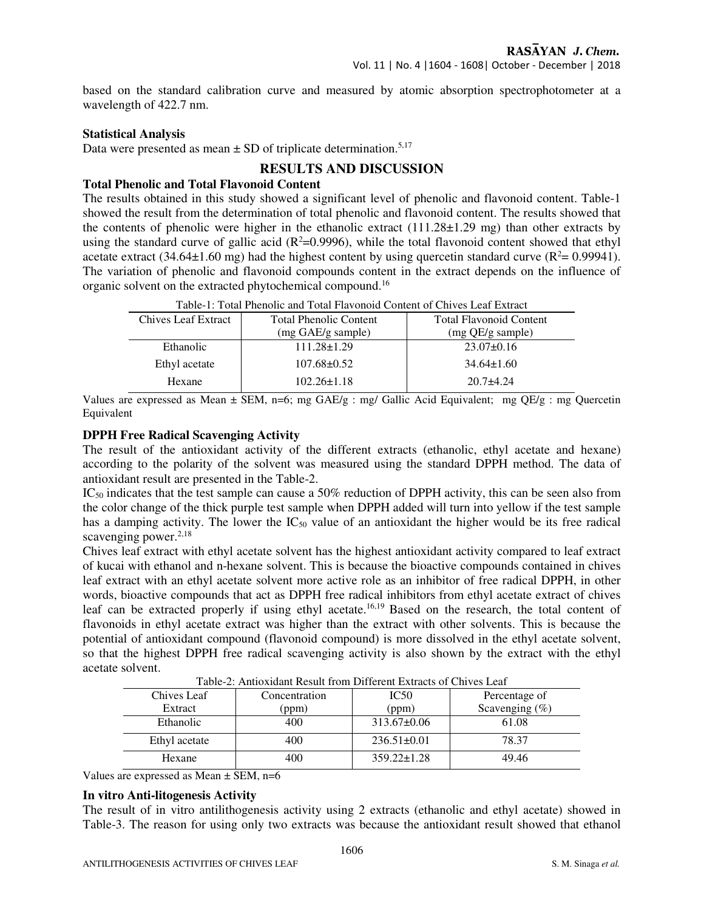based on the standard calibration curve and measured by atomic absorption spectrophotometer at a wavelength of 422.7 nm.

#### **Statistical Analysis**

Data were presented as mean  $\pm$  SD of triplicate determination.<sup>5,17</sup>

# **RESULTS AND DISCUSSION**

#### **Total Phenolic and Total Flavonoid Content**

The results obtained in this study showed a significant level of phenolic and flavonoid content. Table-1 showed the result from the determination of total phenolic and flavonoid content. The results showed that the contents of phenolic were higher in the ethanolic extract  $(111.28\pm1.29 \text{ mg})$  than other extracts by using the standard curve of gallic acid ( $R^2=0.9996$ ), while the total flavonoid content showed that ethyl acetate extract (34.64 $\pm$ 1.60 mg) had the highest content by using quercetin standard curve ( $R^2$  = 0.99941). The variation of phenolic and flavonoid compounds content in the extract depends on the influence of organic solvent on the extracted phytochemical compound.<sup>16</sup>

| <b>Chives Leaf Extract</b> | <b>Total Phenolic Content</b> | <b>Total Flavonoid Content</b> |  |  |  |  |
|----------------------------|-------------------------------|--------------------------------|--|--|--|--|
|                            | (mg GAE/g sample)             | (mg QE/g sample)               |  |  |  |  |
| Ethanolic                  | $111.28 \pm 1.29$             | $23.07 \pm 0.16$               |  |  |  |  |
| Ethyl acetate              | $107.68 \pm 0.52$             | $34.64\pm1.60$                 |  |  |  |  |
| Hexane                     | $102.26 \pm 1.18$             | $20.7 + 4.24$                  |  |  |  |  |

Table-1: Total Phenolic and Total Flavonoid Content of Chives Leaf Extract

Values are expressed as Mean ± SEM, n=6; mg GAE/g : mg/ Gallic Acid Equivalent; mg QE/g : mg Quercetin Equivalent

#### **DPPH Free Radical Scavenging Activity**

The result of the antioxidant activity of the different extracts (ethanolic, ethyl acetate and hexane) according to the polarity of the solvent was measured using the standard DPPH method. The data of antioxidant result are presented in the Table-2.

 $IC_{50}$  indicates that the test sample can cause a 50% reduction of DPPH activity, this can be seen also from the color change of the thick purple test sample when DPPH added will turn into yellow if the test sample has a damping activity. The lower the  $IC_{50}$  value of an antioxidant the higher would be its free radical scavenging power. $2,18$ 

Chives leaf extract with ethyl acetate solvent has the highest antioxidant activity compared to leaf extract of kucai with ethanol and n-hexane solvent. This is because the bioactive compounds contained in chives leaf extract with an ethyl acetate solvent more active role as an inhibitor of free radical DPPH, in other words, bioactive compounds that act as DPPH free radical inhibitors from ethyl acetate extract of chives leaf can be extracted properly if using ethyl acetate.<sup>16,19</sup> Based on the research, the total content of flavonoids in ethyl acetate extract was higher than the extract with other solvents. This is because the potential of antioxidant compound (flavonoid compound) is more dissolved in the ethyl acetate solvent, so that the highest DPPH free radical scavenging activity is also shown by the extract with the ethyl acetate solvent.

| Table-2. Alitioxidain Result Holli Different Extracts of Chryes Leaf |               |                   |                   |  |  |  |
|----------------------------------------------------------------------|---------------|-------------------|-------------------|--|--|--|
| Chives Leaf                                                          | Concentration | IC <sub>50</sub>  | Percentage of     |  |  |  |
| Extract                                                              | (ppm)<br>(ppm |                   | Scavenging $(\%)$ |  |  |  |
| Ethanolic                                                            | 400           | $313.67 \pm 0.06$ | 61.08             |  |  |  |
| Ethyl acetate                                                        | 400           | $236.51 \pm 0.01$ | 78.37             |  |  |  |
| Hexane                                                               | 400           | $359.22 \pm 1.28$ | 49.46             |  |  |  |

Table-2: Antioxidant Result from Different Extracts of Chives Leaf

Values are expressed as Mean  $\pm$  SEM, n=6

#### **In vitro Anti-litogenesis Activity**

The result of in vitro antilithogenesis activity using 2 extracts (ethanolic and ethyl acetate) showed in Table-3. The reason for using only two extracts was because the antioxidant result showed that ethanol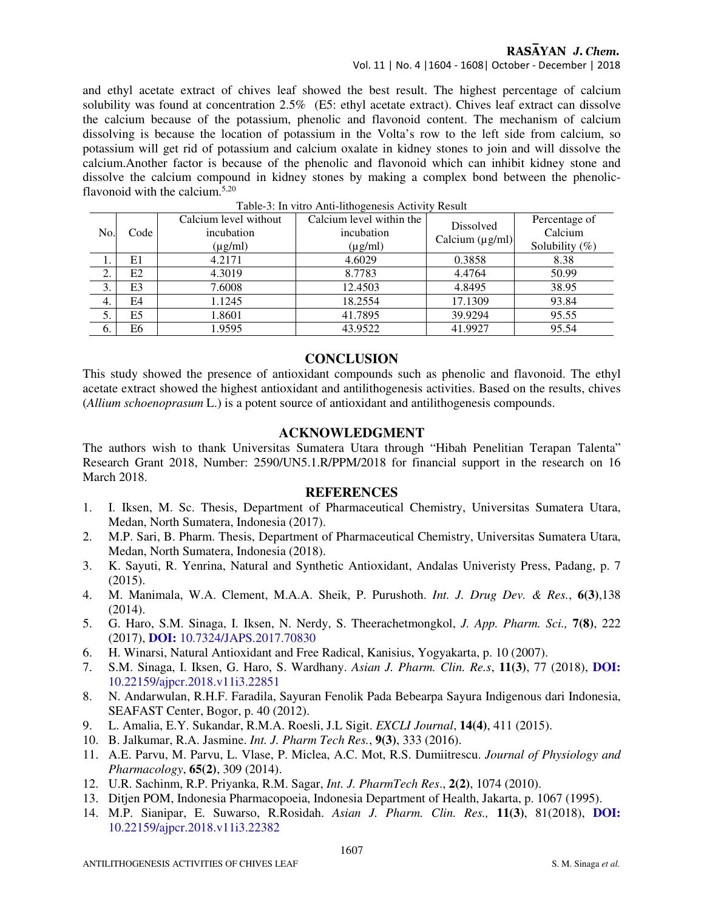# RASAYAN J. Chem.

# Vol. 11 | No. 4 |1604 - 1608| October - December | 2018

and ethyl acetate extract of chives leaf showed the best result. The highest percentage of calcium solubility was found at concentration 2.5% (E5: ethyl acetate extract). Chives leaf extract can dissolve the calcium because of the potassium, phenolic and flavonoid content. The mechanism of calcium dissolving is because the location of potassium in the Volta's row to the left side from calcium, so potassium will get rid of potassium and calcium oxalate in kidney stones to join and will dissolve the calcium.Another factor is because of the phenolic and flavonoid which can inhibit kidney stone and dissolve the calcium compound in kidney stones by making a complex bond between the phenolicflavonoid with the calcium. $5,20$ 

| No. | Code           | Calcium level without<br>incubation<br>$(\mu g/ml)$ | Calcium level within the<br>incubation<br>$(\mu g/ml)$ | Dissolved<br>Calcium $(\mu g/ml)$ | Percentage of<br>Calcium<br>Solubility $(\%)$ |
|-----|----------------|-----------------------------------------------------|--------------------------------------------------------|-----------------------------------|-----------------------------------------------|
| . . | E1             | 4.2171                                              | 4.6029                                                 | 0.3858                            | 8.38                                          |
| 2.  | E2             | 4.3019                                              | 8.7783                                                 | 4.4764                            | 50.99                                         |
| 3.  | E <sub>3</sub> | 7.6008                                              | 12.4503                                                | 4.8495                            | 38.95                                         |
| 4.  | E4             | 1.1245                                              | 18.2554                                                | 17.1309                           | 93.84                                         |
| 5.  | E <sub>5</sub> | 1.8601                                              | 41.7895                                                | 39.9294                           | 95.55                                         |
| 6.  | E6             | 1.9595                                              | 43.9522                                                | 41.9927                           | 95.54                                         |

Table-3: In vitro Anti-lithogenesis Activity Result

#### **CONCLUSION**

This study showed the presence of antioxidant compounds such as phenolic and flavonoid. The ethyl acetate extract showed the highest antioxidant and antilithogenesis activities. Based on the results, chives (*Allium schoenoprasum* L.) is a potent source of antioxidant and antilithogenesis compounds.

## **ACKNOWLEDGMENT**

The authors wish to thank Universitas Sumatera Utara through "Hibah Penelitian Terapan Talenta" Research Grant 2018, Number: 2590/UN5.1.R/PPM/2018 for financial support in the research on 16 March 2018.

# **REFERENCES**

- 1. I. Iksen, M. Sc. Thesis, Department of Pharmaceutical Chemistry, Universitas Sumatera Utara, Medan, North Sumatera, Indonesia (2017).
- 2. M.P. Sari, B. Pharm. Thesis, Department of Pharmaceutical Chemistry, Universitas Sumatera Utara, Medan, North Sumatera, Indonesia (2018).
- 3. K. Sayuti, R. Yenrina, Natural and Synthetic Antioxidant, Andalas Univeristy Press, Padang, p. 7  $(2015)$ .
- 4. M. Manimala, W.A. Clement, M.A.A. Sheik, P. Purushoth. *Int. J. Drug Dev. & Res.*, **6(3)**,138 (2014).
- 5. G. Haro, S.M. Sinaga, I. Iksen, N. Nerdy, S. Theerachetmongkol, *J. App. Pharm. Sci.,* **7(8)**, 222 (2017), **DOI:** 10.7324/JAPS.2017.70830
- 6. H. Winarsi, Natural Antioxidant and Free Radical, Kanisius, Yogyakarta, p. 10 (2007).
- 7. S.M. Sinaga, I. Iksen, G. Haro, S. Wardhany. *Asian J. Pharm. Clin. Re.s*, **11(3)**, 77 (2018), **DOI:** 10.22159/ajpcr.2018.v11i3.22851
- 8. N. Andarwulan, R.H.F. Faradila, Sayuran Fenolik Pada Bebearpa Sayura Indigenous dari Indonesia, SEAFAST Center, Bogor, p. 40 (2012).
- 9. L. Amalia, E.Y. Sukandar, R.M.A. Roesli, J.L Sigit. *EXCLI Journal*, **14(4)**, 411 (2015).
- 10. B. Jalkumar, R.A. Jasmine. *Int. J. Pharm Tech Res.*, **9(3)**, 333 (2016).
- 11. A.E. Parvu, M. Parvu, L. Vlase, P. Miclea, A.C. Mot, R.S. Dumiitrescu. *Journal of Physiology and Pharmacology*, **65(2)**, 309 (2014).
- 12. U.R. Sachinm, R.P. Priyanka, R.M. Sagar, *Int. J. PharmTech Res*., **2(2)**, 1074 (2010).
- 13. Ditjen POM, Indonesia Pharmacopoeia, Indonesia Department of Health, Jakarta, p. 1067 (1995).
- 14. M.P. Sianipar, E. Suwarso, R.Rosidah. *Asian J. Pharm. Clin. Res.,* **11(3)**, 81(2018), **DOI:** 10.22159/ajpcr.2018.v11i3.22382